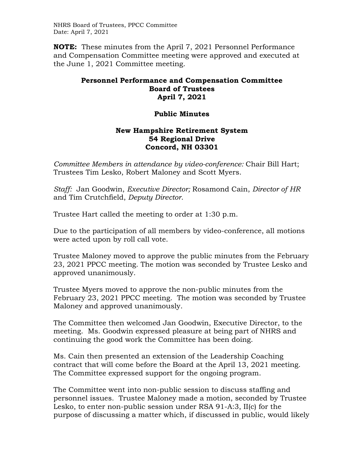NHRS Board of Trustees, PPCC Committee Date: April 7, 2021

**NOTE:** These minutes from the April 7, 2021 Personnel Performance and Compensation Committee meeting were approved and executed at the June 1, 2021 Committee meeting.

## **Personnel Performance and Compensation Committee Board of Trustees April 7, 2021**

## **Public Minutes**

## **New Hampshire Retirement System 54 Regional Drive Concord, NH 03301**

*Committee Members in attendance by video-conference:* Chair Bill Hart; Trustees Tim Lesko, Robert Maloney and Scott Myers.

*Staff:* Jan Goodwin, *Executive Director;* Rosamond Cain, *Director of HR*  and Tim Crutchfield, *Deputy Director*.

Trustee Hart called the meeting to order at 1:30 p.m.

Due to the participation of all members by video-conference, all motions were acted upon by roll call vote.

Trustee Maloney moved to approve the public minutes from the February 23, 2021 PPCC meeting. The motion was seconded by Trustee Lesko and approved unanimously.

Trustee Myers moved to approve the non-public minutes from the February 23, 2021 PPCC meeting. The motion was seconded by Trustee Maloney and approved unanimously.

The Committee then welcomed Jan Goodwin, Executive Director, to the meeting. Ms. Goodwin expressed pleasure at being part of NHRS and continuing the good work the Committee has been doing.

Ms. Cain then presented an extension of the Leadership Coaching contract that will come before the Board at the April 13, 2021 meeting. The Committee expressed support for the ongoing program.

The Committee went into non-public session to discuss staffing and personnel issues. Trustee Maloney made a motion, seconded by Trustee Lesko, to enter non-public session under RSA 91-A:3, II(c) for the purpose of discussing a matter which, if discussed in public, would likely